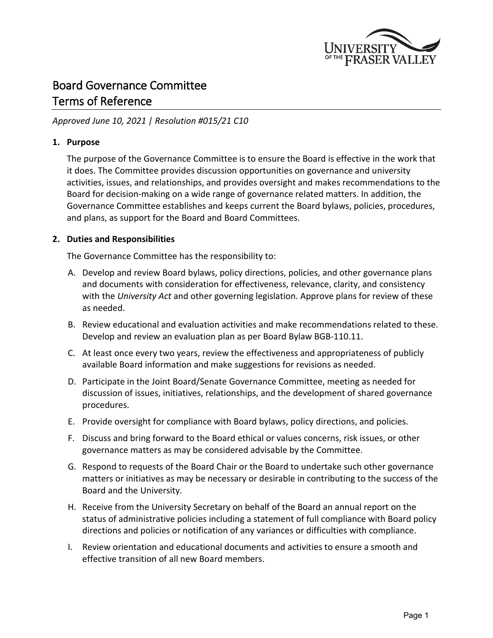

# Board Governance Committee Terms of Reference

## *Approved June 10, 2021 | Resolution #015/21 C10*

### **1. Purpose**

The purpose of the Governance Committee is to ensure the Board is effective in the work that it does. The Committee provides discussion opportunities on governance and university activities, issues, and relationships, and provides oversight and makes recommendations to the Board for decision-making on a wide range of governance related matters. In addition, the Governance Committee establishes and keeps current the Board bylaws, policies, procedures, and plans, as support for the Board and Board Committees.

### **2. Duties and Responsibilities**

The Governance Committee has the responsibility to:

- A. Develop and review Board bylaws, policy directions, policies, and other governance plans and documents with consideration for effectiveness, relevance, clarity, and consistency with the *University Act* and other governing legislation. Approve plans for review of these as needed.
- B. Review educational and evaluation activities and make recommendations related to these. Develop and review an evaluation plan as per Board Bylaw BGB-110.11.
- C. At least once every two years, review the effectiveness and appropriateness of publicly available Board information and make suggestions for revisions as needed.
- D. Participate in the Joint Board/Senate Governance Committee, meeting as needed for discussion of issues, initiatives, relationships, and the development of shared governance procedures.
- E. Provide oversight for compliance with Board bylaws, policy directions, and policies.
- F. Discuss and bring forward to the Board ethical or values concerns, risk issues, or other governance matters as may be considered advisable by the Committee.
- G. Respond to requests of the Board Chair or the Board to undertake such other governance matters or initiatives as may be necessary or desirable in contributing to the success of the Board and the University.
- H. Receive from the University Secretary on behalf of the Board an annual report on the status of administrative policies including a statement of full compliance with Board policy directions and policies or notification of any variances or difficulties with compliance.
- I. Review orientation and educational documents and activities to ensure a smooth and effective transition of all new Board members.